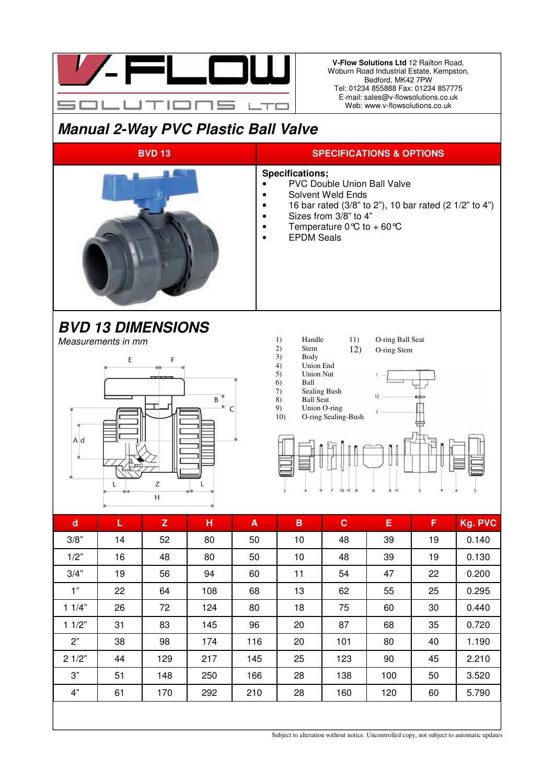

**V-Flow Solutions Ltd** 12 Railton Road, Woburn Road Industrial Estate, Kempston, Bedford, MK42 7PW Tel: 01234 855888 Fax: 01234 857775 E-mail: sales@v-flowsolutions.co.uk Web: www.v-flowsolutions.co.uk

## **Manual 2-Way PVC Plastic Ball Valve**



| $\mathbf d$ | L  | $\mathbf{Z}$ | н   | A   | B  | $\mathbf{C}$ | Е   | F  | Kg. PVC |
|-------------|----|--------------|-----|-----|----|--------------|-----|----|---------|
| 3/8"        | 14 | 52           | 80  | 50  | 10 | 48           | 39  | 19 | 0.140   |
| 1/2"        | 16 | 48           | 80  | 50  | 10 | 48           | 39  | 19 | 0.130   |
| 3/4"        | 19 | 56           | 94  | 60  | 11 | 54           | 47  | 22 | 0.200   |
| 1"          | 22 | 64           | 108 | 68  | 13 | 62           | 55  | 25 | 0.295   |
| 11/4"       | 26 | 72           | 124 | 80  | 18 | 75           | 60  | 30 | 0.440   |
| 11/2"       | 31 | 83           | 145 | 96  | 20 | 87           | 68  | 35 | 0.720   |
| 2"          | 38 | 98           | 174 | 116 | 20 | 101          | 80  | 40 | 1.190   |
| 21/2"       | 44 | 129          | 217 | 145 | 25 | 123          | 90  | 45 | 2.210   |
| 3"          | 51 | 148          | 250 | 166 | 28 | 138          | 100 | 50 | 3.520   |
| 4"          | 61 | 170          | 292 | 210 | 28 | 160          | 120 | 60 | 5.790   |
|             |    |              |     |     |    |              |     |    |         |

Subject to alteration without notice. Uncontrolled copy, not subject to automatic updates